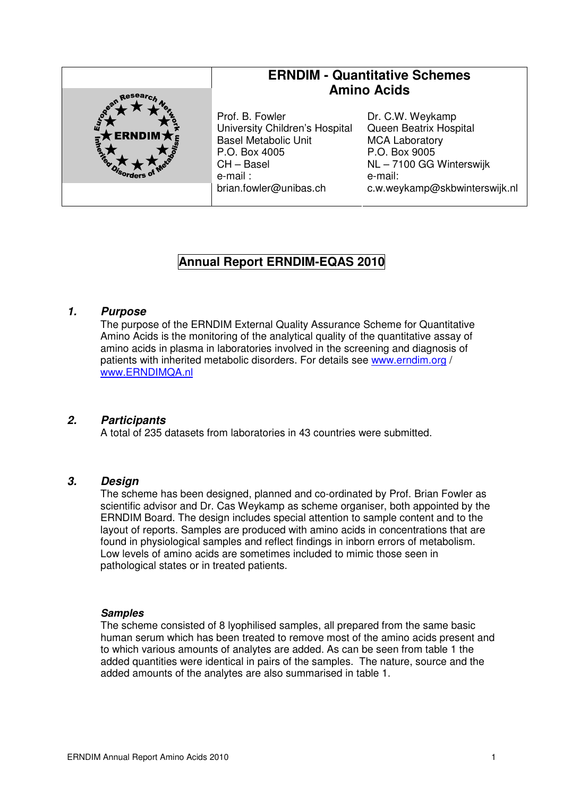

# **Annual Report ERNDIM-EQAS 2010**

#### **1. Purpose**

The purpose of the ERNDIM External Quality Assurance Scheme for Quantitative Amino Acids is the monitoring of the analytical quality of the quantitative assay of amino acids in plasma in laboratories involved in the screening and diagnosis of patients with inherited metabolic disorders. For details see www.erndim.org / www.ERNDIMQA.nl

## **2. Participants**

A total of 235 datasets from laboratories in 43 countries were submitted.

## **3. Design**

The scheme has been designed, planned and co-ordinated by Prof. Brian Fowler as scientific advisor and Dr. Cas Weykamp as scheme organiser, both appointed by the ERNDIM Board. The design includes special attention to sample content and to the layout of reports. Samples are produced with amino acids in concentrations that are found in physiological samples and reflect findings in inborn errors of metabolism. Low levels of amino acids are sometimes included to mimic those seen in pathological states or in treated patients.

#### **Samples**

The scheme consisted of 8 lyophilised samples, all prepared from the same basic human serum which has been treated to remove most of the amino acids present and to which various amounts of analytes are added. As can be seen from table 1 the added quantities were identical in pairs of the samples. The nature, source and the added amounts of the analytes are also summarised in table 1.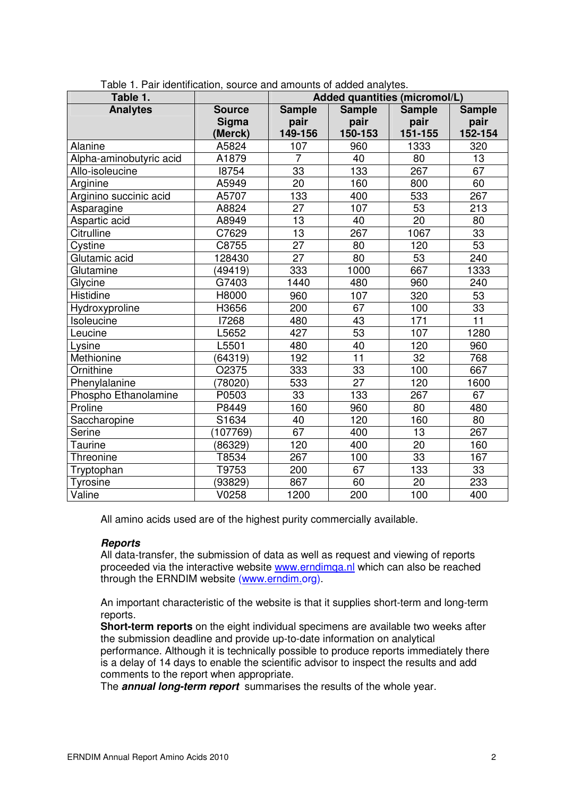| Table 1.                |               | Added quantities (micromol/L) |                 |                 |                 |
|-------------------------|---------------|-------------------------------|-----------------|-----------------|-----------------|
| <b>Analytes</b>         | <b>Source</b> | <b>Sample</b>                 | <b>Sample</b>   | <b>Sample</b>   | <b>Sample</b>   |
|                         | <b>Sigma</b>  | pair                          | pair            | pair            | pair            |
|                         | (Merck)       | 149-156                       | 150-153         | 151-155         | 152-154         |
| Alanine                 | A5824         | 107                           | 960             | 1333            | 320             |
| Alpha-aminobutyric acid | A1879         | $\overline{7}$                | 40              | 80              | 13              |
| Allo-isoleucine         | 18754         | 33                            | 133             | 267             | 67              |
| Arginine                | A5949         | $\overline{20}$               | 160             | 800             | 60              |
| Arginino succinic acid  | A5707         | 133                           | 400             | 533             | 267             |
| Asparagine              | A8824         | 27                            | 107             | 53              | 213             |
| Aspartic acid           | A8949         | 13                            | 40              | 20              | 80              |
| <b>Citrulline</b>       | C7629         | $\overline{13}$               | 267             | 1067            | $\overline{33}$ |
| Cystine                 | C8755         | 27                            | 80              | 120             | 53              |
| Glutamic acid           | 128430        | $\overline{27}$               | $\overline{80}$ | $\overline{53}$ | 240             |
| Glutamine               | (49419)       | 333                           | 1000            | 667             | 1333            |
| Glycine                 | G7403         | 1440                          | 480             | 960             | 240             |
| Histidine               | H8000         | 960                           | 107             | 320             | 53              |
| Hydroxyproline          | H3656         | 200                           | 67              | 100             | $\overline{33}$ |
| Isoleucine              | 17268         | 480                           | 43              | 171             | $\overline{11}$ |
| Leucine                 | L5652         | 427                           | 53              | 107             | 1280            |
| Lysine                  | L5501         | 480                           | 40              | 120             | 960             |
| Methionine              | (64319)       | 192                           | $\overline{11}$ | $\overline{32}$ | 768             |
| Ornithine               | O2375         | 333                           | 33              | 100             | 667             |
| Phenylalanine           | (78020)       | 533                           | 27              | 120             | 1600            |
| Phospho Ethanolamine    | P0503         | 33                            | 133             | 267             | 67              |
| Proline                 | P8449         | 160                           | 960             | 80              | 480             |
| Saccharopine            | S1634         | 40                            | 120             | 160             | 80              |
| Serine                  | (107769)      | 67                            | 400             | 13              | 267             |
| Taurine                 | (86329)       | 120                           | 400             | 20              | 160             |
| Threonine               | T8534         | 267                           | 100             | 33              | 167             |
| Tryptophan              | T9753         | 200                           | 67              | 133             | 33              |
| <b>Tyrosine</b>         | (93829)       | 867                           | 60              | 20              | 233             |
| Valine                  | V0258         | 1200                          | 200             | 100             | 400             |

Table 1. Pair identification, source and amounts of added analytes.

All amino acids used are of the highest purity commercially available.

#### **Reports**

All data-transfer, the submission of data as well as request and viewing of reports proceeded via the interactive website www.erndimqa.nl which can also be reached through the ERNDIM website (www.erndim.org).

An important characteristic of the website is that it supplies short-term and long-term reports.

**Short-term reports** on the eight individual specimens are available two weeks after the submission deadline and provide up-to-date information on analytical performance. Although it is technically possible to produce reports immediately there is a delay of 14 days to enable the scientific advisor to inspect the results and add comments to the report when appropriate.

The **annual long-term report** summarises the results of the whole year.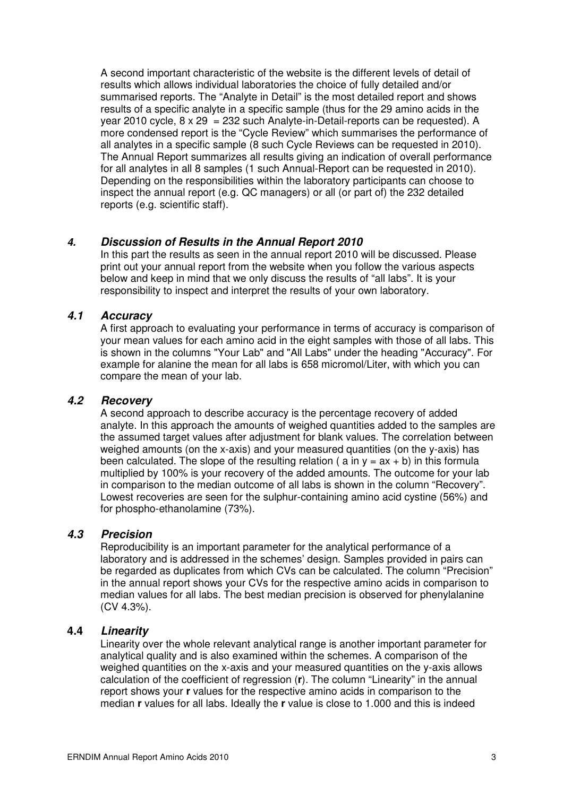A second important characteristic of the website is the different levels of detail of results which allows individual laboratories the choice of fully detailed and/or summarised reports. The "Analyte in Detail" is the most detailed report and shows results of a specific analyte in a specific sample (thus for the 29 amino acids in the year 2010 cycle,  $8 \times 29 = 232$  such Analyte-in-Detail-reports can be requested). A more condensed report is the "Cycle Review" which summarises the performance of all analytes in a specific sample (8 such Cycle Reviews can be requested in 2010). The Annual Report summarizes all results giving an indication of overall performance for all analytes in all 8 samples (1 such Annual-Report can be requested in 2010). Depending on the responsibilities within the laboratory participants can choose to inspect the annual report (e.g. QC managers) or all (or part of) the 232 detailed reports (e.g. scientific staff).

## **4. Discussion of Results in the Annual Report 2010**

In this part the results as seen in the annual report 2010 will be discussed. Please print out your annual report from the website when you follow the various aspects below and keep in mind that we only discuss the results of "all labs". It is your responsibility to inspect and interpret the results of your own laboratory.

## **4.1 Accuracy**

A first approach to evaluating your performance in terms of accuracy is comparison of your mean values for each amino acid in the eight samples with those of all labs. This is shown in the columns "Your Lab" and "All Labs" under the heading "Accuracy". For example for alanine the mean for all labs is 658 micromol/Liter, with which you can compare the mean of your lab.

#### **4.2 Recovery**

A second approach to describe accuracy is the percentage recovery of added analyte. In this approach the amounts of weighed quantities added to the samples are the assumed target values after adjustment for blank values. The correlation between weighed amounts (on the x-axis) and your measured quantities (on the y-axis) has been calculated. The slope of the resulting relation ( $a$  in  $v = ax + b$ ) in this formula multiplied by 100% is your recovery of the added amounts. The outcome for your lab in comparison to the median outcome of all labs is shown in the column "Recovery". Lowest recoveries are seen for the sulphur-containing amino acid cystine (56%) and for phospho-ethanolamine (73%).

### **4.3 Precision**

Reproducibility is an important parameter for the analytical performance of a laboratory and is addressed in the schemes' design. Samples provided in pairs can be regarded as duplicates from which CVs can be calculated. The column "Precision" in the annual report shows your CVs for the respective amino acids in comparison to median values for all labs. The best median precision is observed for phenylalanine (CV 4.3%).

#### **4.4 Linearity**

Linearity over the whole relevant analytical range is another important parameter for analytical quality and is also examined within the schemes. A comparison of the weighed quantities on the x-axis and your measured quantities on the y-axis allows calculation of the coefficient of regression (**r**). The column "Linearity" in the annual report shows your **r** values for the respective amino acids in comparison to the median **r** values for all labs. Ideally the **r** value is close to 1.000 and this is indeed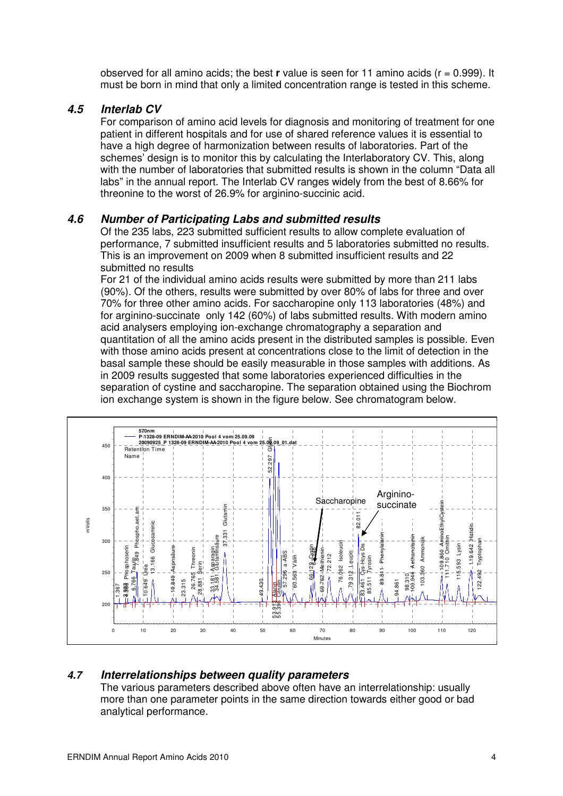observed for all amino acids; the best **r** value is seen for 11 amino acids (r = 0.999). It must be born in mind that only a limited concentration range is tested in this scheme.

### **4.5 Interlab CV**

For comparison of amino acid levels for diagnosis and monitoring of treatment for one patient in different hospitals and for use of shared reference values it is essential to have a high degree of harmonization between results of laboratories. Part of the schemes' design is to monitor this by calculating the Interlaboratory CV. This, along with the number of laboratories that submitted results is shown in the column "Data all labs" in the annual report. The Interlab CV ranges widely from the best of 8.66% for threonine to the worst of 26.9% for arginino-succinic acid.

#### **4.6 Number of Participating Labs and submitted results**

Of the 235 labs, 223 submitted sufficient results to allow complete evaluation of performance, 7 submitted insufficient results and 5 laboratories submitted no results. This is an improvement on 2009 when 8 submitted insufficient results and 22 submitted no results

For 21 of the individual amino acids results were submitted by more than 211 labs (90%). Of the others, results were submitted by over 80% of labs for three and over 70% for three other amino acids. For saccharopine only 113 laboratories (48%) and for arginino-succinate only 142 (60%) of labs submitted results. With modern amino acid analysers employing ion-exchange chromatography a separation and quantitation of all the amino acids present in the distributed samples is possible. Even with those amino acids present at concentrations close to the limit of detection in the basal sample these should be easily measurable in those samples with additions. As in 2009 results suggested that some laboratories experienced difficulties in the separation of cystine and saccharopine. The separation obtained using the Biochrom ion exchange system is shown in the figure below. See chromatogram below.



## **4.7 Interrelationships between quality parameters**

The various parameters described above often have an interrelationship: usually more than one parameter points in the same direction towards either good or bad analytical performance.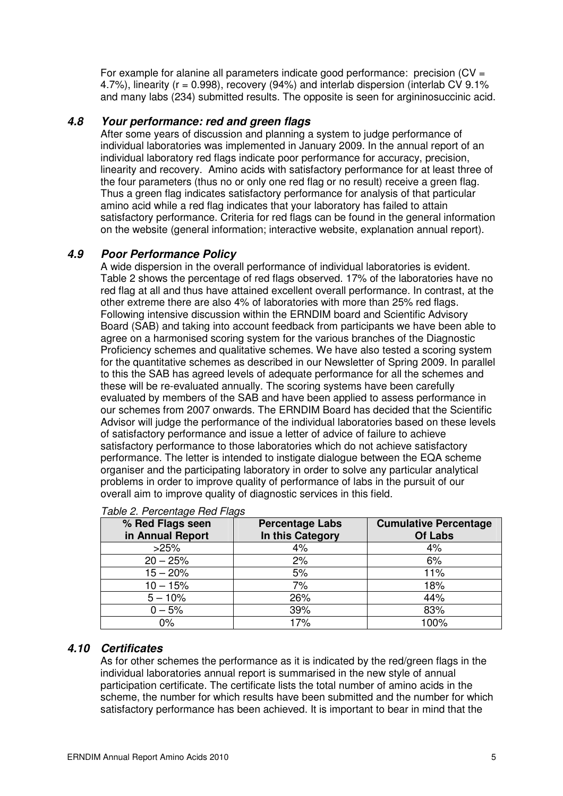For example for alanine all parameters indicate good performance: precision  $(CV =$ 4.7%), linearity ( $r = 0.998$ ), recovery (94%) and interlab dispersion (interlab CV 9.1% and many labs (234) submitted results. The opposite is seen for argininosuccinic acid.

## **4.8 Your performance: red and green flags**

After some years of discussion and planning a system to judge performance of individual laboratories was implemented in January 2009. In the annual report of an individual laboratory red flags indicate poor performance for accuracy, precision, linearity and recovery. Amino acids with satisfactory performance for at least three of the four parameters (thus no or only one red flag or no result) receive a green flag. Thus a green flag indicates satisfactory performance for analysis of that particular amino acid while a red flag indicates that your laboratory has failed to attain satisfactory performance. Criteria for red flags can be found in the general information on the website (general information; interactive website, explanation annual report).

#### **4.9 Poor Performance Policy**

A wide dispersion in the overall performance of individual laboratories is evident. Table 2 shows the percentage of red flags observed. 17% of the laboratories have no red flag at all and thus have attained excellent overall performance. In contrast, at the other extreme there are also 4% of laboratories with more than 25% red flags. Following intensive discussion within the ERNDIM board and Scientific Advisory Board (SAB) and taking into account feedback from participants we have been able to agree on a harmonised scoring system for the various branches of the Diagnostic Proficiency schemes and qualitative schemes. We have also tested a scoring system for the quantitative schemes as described in our Newsletter of Spring 2009. In parallel to this the SAB has agreed levels of adequate performance for all the schemes and these will be re-evaluated annually. The scoring systems have been carefully evaluated by members of the SAB and have been applied to assess performance in our schemes from 2007 onwards. The ERNDIM Board has decided that the Scientific Advisor will judge the performance of the individual laboratories based on these levels of satisfactory performance and issue a letter of advice of failure to achieve satisfactory performance to those laboratories which do not achieve satisfactory performance. The letter is intended to instigate dialogue between the EQA scheme organiser and the participating laboratory in order to solve any particular analytical problems in order to improve quality of performance of labs in the pursuit of our overall aim to improve quality of diagnostic services in this field.

| % Red Flags seen<br>in Annual Report | <b>Percentage Labs</b><br>In this Category | <b>Cumulative Percentage</b><br><b>Of Labs</b> |
|--------------------------------------|--------------------------------------------|------------------------------------------------|
| >25%                                 | 4%                                         | 4%                                             |
| $20 - 25%$                           | 2%                                         | 6%                                             |
| $15 - 20%$                           | 5%                                         | 11%                                            |
| $10 - 15%$                           | 7%                                         | 18%                                            |
| $5 - 10%$                            | 26%                                        | 44%                                            |
| $0 - 5%$                             | 39%                                        | 83%                                            |
| 0%                                   | 17%                                        | 100%                                           |

|  | Table 2. Percentage Red Flags |  |
|--|-------------------------------|--|
|--|-------------------------------|--|

## **4.10 Certificates**

As for other schemes the performance as it is indicated by the red/green flags in the individual laboratories annual report is summarised in the new style of annual participation certificate. The certificate lists the total number of amino acids in the scheme, the number for which results have been submitted and the number for which satisfactory performance has been achieved. It is important to bear in mind that the